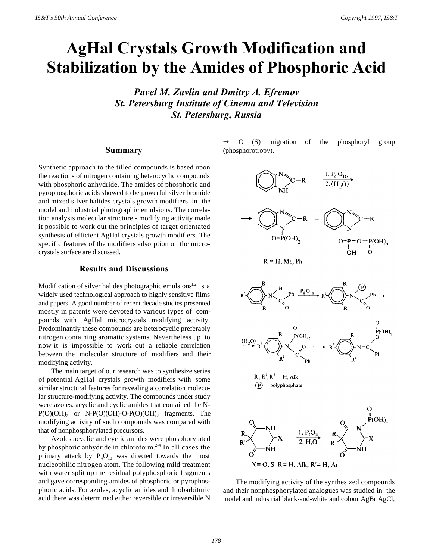# **AgHal Crystals Growth Modification and Stabilization by the Amides of Phosphoric Acid**

*Pavel M. Zavlin and Dmitry A. Efremov St. Petersburg Institute of Cinema and Television St. Petersburg, Russia*

#### **Summary**

Synthetic approach to the tilled compounds is based upon the reactions of nitrogen containing heterocyclic compounds with phosphoric anhydride. The amides of phosphoric and pyrophosphoric acids showed to be powerful silver bromide and mixed silver halides crystals growth modifiers in the model and industrial photographic emulsions. The correlation analysis molecular structure - modifying activity made it possible to work out the principles of target orientated synthesis of efficient AgHal crystals growth modifiers. The specific features of the modifiers adsorption on thc microcrystals surface are discussed.

### **Results and Discussions**

Modification of silver halides photographic emulsions $1,2$  is a widely used technological approach to highly sensitive films and papers. A good number of recent decade studies presented mostly in patents were devoted to various types of compounds with AgHal microcrystals modifying activity. Predominantly these compounds are heterocyclic preferably nitrogen containing aromatic systems. Nevertheless up to now it is impossible to work out a reliable correlation between the molecular structure of modifiers and their modifying activity.

The main target of our research was to synthesize series of potential AgHal crystals growth modifiers with some similar structural features for revealing a correlation molecular structure-modifying activity. The compounds under study were azoles. acyclic and cyclic amides that contained the N- $P(O)(OH)_2$  or N- $P(O)(OH)$ -O- $P(O)(OH)_2$  fragments. The modifying activity of such compounds was compared with that of nonphosphorylated precursors.

Azoles acyclic and cyclic amides were phosphorylated by phosphoric anhydride in chloroform.<sup>2-4</sup> In all cases the primary attack by  $P_4O_{10}$  was directed towards the most nucleophilic nitrogen atom. The following mild treatment with water split up the residual polyphosphoric fragments and gave corresponding amides of phosphoric or pyrophosphoric acids. For azoles, acyclic amides and thiobarbituric acid there was determined either reversible or irreversible N

O (S) migration of the phosphoryl group (phosphorotropy).







 $R, R^1, R^2 = H, Alk$  $(P)$  = polyphosphate



The modifying activity of the synthesized compounds and their nonphosphorylated analogues was studied in the model and industrial black-and-white and colour AgBr AgCl,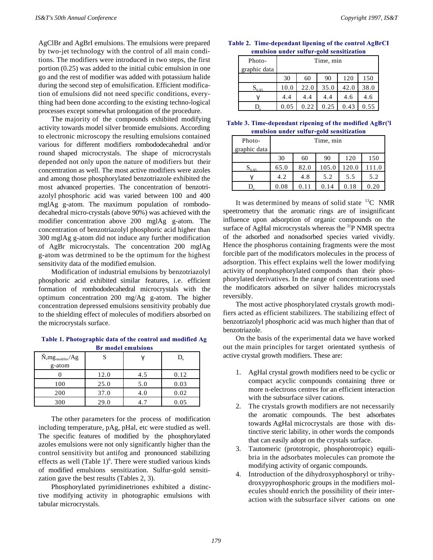AgClBr and AgBrI emulsions. The emulsions were prepared by two-jet technology with the control of all main conditions. The modifiers were introduced in two steps, the first portion (0.25) was added to the initial cubic emulsion in one go and the rest of modifier was added with potassium halide during the second step of emulsification. Efficient modification of emulsions did not need specific conditions, everything had been done according to the existing techno-logical processes except somewhat prolongation of the procedure.

The majority of the compounds exhibited modifying activity towards model silver bromide emulsions. According to electronic microscopy the resulting emulsions contained various for different modifiers rombododecahedral and/or round shaped microcrystals. The shape of microcrystals depended not only upon the nature of modifiers but their concentration as well. The most active modifiers were azoles and among those phosphorylated benzotriazole exhibited the most advanced properties. The concentration of benzotriazolyl phosphoric acid was varied between 100 and 400 mglAg g-atom. The maximum population of rombododecahedral micro-crystals (above 90%) was achieved with the modifier concentration above 200 mglAg g-atom. The concentration of benzotriazolyl phosphoric acid higher than 300 mglAg g-atom did not induce any further modification of AgBr microcrystals. The concentration 200 mglAg g-atom was detrmined to be the optimum for the highest sensitivity data of the modified emulsion.

Modification of industrial emulsions by benzotriazolyl phosphoric acid exhibited similar features, i.e. efficient formation of rombododecahedral microcrystals with the optimum concentration 200 mg/Ag g-atom. The higher concentration depressed emulsions sensitivity probably due to the shielding effect of molecules of modifiers absorbed on the microcrystals surface.

**Table 1. Photographic data of the control and modified Ag Br model emulsions**

| $\tilde{N}$ , $mg_{\text{modifier}}/Ag$ |      | $\sim$ |      |
|-----------------------------------------|------|--------|------|
| g-atom                                  |      |        |      |
|                                         | 12.0 | 4.5    | 0.12 |
| 100                                     | 25.0 | 5.0    | 0.03 |
| 200                                     | 37.0 | 4.0    | 0.02 |
| 300                                     | 29.0 |        | 0.05 |

The other parameters for the process of modification including temperature, pAg, pHal, etc were studied as well. The specific features of modified by the phosphorylated azoles emulsions were not only significantly higher than the control sensitivity but antifog and pronounced stabilizing effects as well (Table  $1$ )<sup>6</sup>. There were studied various kinds of modified emulsions sensitization. Sulfur-gold sensitization gave the best results (Tables 2, 3).

Phosphorylated pyrimidinetriones exhibited a distinctive modifying activity in photographic emulsions with tabular microcrystals.

#### **Table 2. Time-dependant lipening of the control AgBrCI emulsion under sulfur-gold sensitization**

| Photo-<br>graphic data | Time, min |      |      |      |      |  |
|------------------------|-----------|------|------|------|------|--|
|                        | 30        | 60   | 90   | 120  | 150  |  |
| $S_{0.85}$             | 10.0      | 22.0 | 35.0 | 42.0 | 38.0 |  |
|                        | 4.4       | 4.4  | 4.4  | 4.6  | 4.6  |  |
|                        | 0.05      | 0.22 | 0.25 | 0.43 | 0.55 |  |

| Table 3. Time-dependant ripening of the modified AgBr('l |
|----------------------------------------------------------|
| emulsion under sulfur-gold sensitization                 |

| Photo-<br>graphic data | Time, min |      |       |       |     |  |
|------------------------|-----------|------|-------|-------|-----|--|
|                        | 30        | 60   | 90    | 120   | 150 |  |
| $S_{0.85}$             | 65.0      | 82.0 | 105.0 | 120.0 |     |  |
|                        | 4.2       | 4.8  | 5.2   | 5.5   | 5.2 |  |
|                        | 0.08      | 0.11 | 0.14  | 0.18  | .20 |  |

It was determined by means of solid state <sup>13</sup>C NMR speetrometry that the aromatic rings are of insignificant influence upon adsorption of organic compounds on the surface of AgHal microcrystals whereas the <sup>31</sup>P NMR spectra of the adsorbed and nonadsorbed species varied vividly. Hence the phosphorus containing fragments were the most forcible part of the modificators molecules in the process of adsorption. This effect explains well the lower modifying activity of nonphosphorylated componds than their phosphorylated derivatives. In the range of concentrations used the modificators adsorbed on silver halides microcrystals reversibly.

The most active phosphorylated crystals growth modifiers acted as efficient stabilizers. The stabilizing effect of benzotriazolyl phosphoric acid was much higher than that of benzotriazole.

On the basis of the experimental data we have worked out the main principles for target orientated synthesis of active crystal growth modifiers. These are:

- 1. AgHal crystal growth modifiers need to be cyclic or compact acyclic compounds containing three or more n-electrons centres for an efficient interaction with the subsurface silver cations.
- 2. The crystals growth modifiers are not necessarily the aromatic compounds. The best adsorbates towards AgHal microcrystals are those with distinctive steric lability, in other words the componds that can easily adopt on the crystals surface.
- 3. Tautomeric (prototropic, phosphorotropic) equilibria in the adsorbates molecules can promote the modifying activity of organic compounds.
- 4. Introduction of the dihydroxyphosphoryl or trihydroxypyrophosphoric groups in the modifiers molecules should enrich the possibility of their interaction with the subsurface silver cations on one